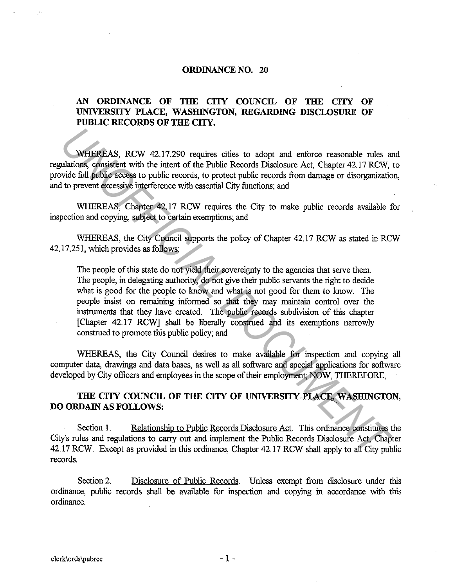#### **ORDINANCE NO. 20**

## AN ORDINANCE OF THE CITY COUNCIL OF THE CITY OF **UNIVERSITY PLACE, WASHINGTON, REGARDING DISCLOSURE OF PUBLIC RECORDS OF THE CITY.**

WHEREAS, RCW 42.17.290 requires cities to adopt and enforce reasonable rules and regulations, consistent with the intent of the Public Records Disclosure Act, Chapter 42.17 RCW, to provide full public access to public records, to protect public records from damage or disorganization, and to prevent excessive interference with essential City functions; and

WHEREAS, Chapter 42.17 RCW requires the City to make public records available for inspection and copying, subject to certain exemptions; and

WHEREAS, the City Council supports the policy of Chapter 42.17 RCW as stated in RCW 42.17.251, which provides as follows:

The people of this state do not yield their sovereignty to the agencies that serve them. The people, in delegating authority, do not give their public servants the right to decide what is good for the people to know and what is not good for them to know. The people insist on remaining informed so that they may maintain control over the instruments that they have created. The public records subdivision of this chapter [Chapter 42.17 RCW] shall be liberally construed and its exemptions narrowly construed to promote this public policy; and **WHEREAS, RCW 42.17.290 requires crites to adopt and enforce reasonable nules and throat platitions, consistent with the intert of the Public Records Discolssure Act, Chapter 42.17 RCW, with the intert of the Public Record** 

WHEREAS, the City Council desires to make available for inspection and copying all computer data, drawings and data bases, as well as all software and special applications for software developed by City officers and employees in the scope of their employment; NOW, THEREFORE,

## **THE CITY COUNCIL OF THE CITY OF UNIVERSITY PLACE;, WASHINGTON, DO ORDAIN AS FOLLOWS:**

Section 1. Relationship to Public Records Disclosure Act. This ordinance constitutes the City's rules and regulations to carry out and implement the Public Records Disclosure Act, Chapter 42.17 RCW. Except as provided in this ordinance, Chapter 42.17 RCW shall apply to all City public records.

Section 2. Disclosure of Public Records. Unless exempt from disclosure under this ordinance, public records shall be available for inspection and copying in accordance with this ordinance.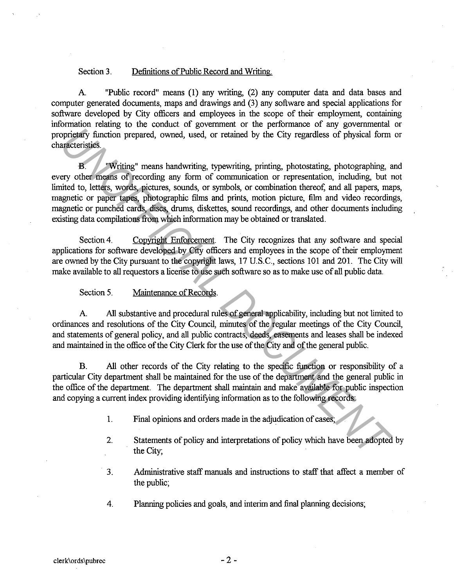#### Section 3. Definitions of Public Record and Writing.

A. "Public record" means (1) any writing, (2) any computer data and data bases and computer generated documents, maps and drawings and (3) any software and special applications for software developed by City officers and employees in the scope of their employment, containing information relating to the conduct of government or the performance of any governmental or proprietary function prepared, owned, used, or retained by the City regardless of physical form or characteristics.

B. "Writing" means handwriting, typewriting, printing, photostating, photographing, and every other means of recording any form of communication or representation, including, but not limited to, letters, words, pictures, sounds, or symbols, or combination thereof, and all papers, maps, magnetic or paper tapes, photographic films and prints, motion picture, film and video recordings, magnetic or punched cards, discs, drums, diskettes, sound recordings, and other documents including existing data compilations from which information may be obtained or translated. **Example 19** All substantive and procedural rules of general applicability increases of physical form and<br>territoids. Writing" means handwriting, typewriting, printing, photostating, photographing,<br>ery other means of recor

Section 4. Copyright Enforcement. The City recognizes that any software and special applications for software developed by City officers and employees in the scope of their employment are owned by the City pursuant to the copyright laws, 17 U.S.C., sections 101 and 201. The City will make available to all requestors a license to use such software so as to make use of all public data.

Section 5. Maintenance of Records.

A. All substantive and procedural rules of general applicability, including but not limited to ordinances and resolutions of the City Council, minutes of the regular meetings of the City Council, and statements of general policy, and all public contracts, deeds, easements and leases shall be indexed and maintained in the office of the City Clerk for the use of the City and of the general public.

B. All other records of the City relating to the specific function or responsibility of a particular City department shall be maintained for the use of the department and the general public in the office of the department. The department shall maintain and make available for public inspection and copying a current index providing identifying information as to the following records:

- 1. Final opinions and orders made in the adjudication of cases;
- 2. Statements of policy and interpretations of policy which have been adopted by the City;
- 3. Administrative staff manuals and instructions to staff that affect a member of the public;
- 4. Planning policies and goals, and interim and final planning decisions;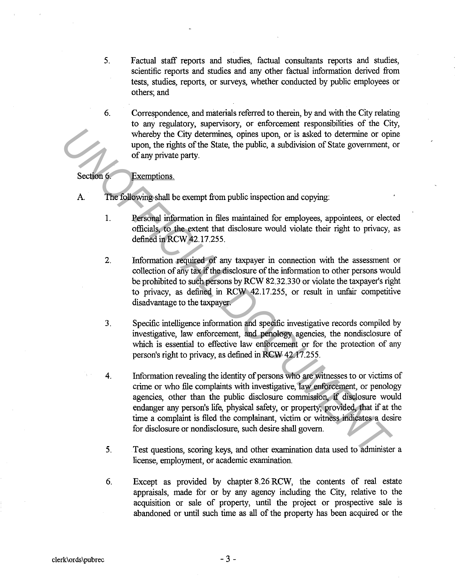- 5. Factual staff reports and studies, factual consultants reports and studies, scientific reports and studies and any other factual information derived from tests, studies, reports, or surveys, whether conducted by public employees or others; and
- 6. Correspondence, and materials referred to therein, by and with the City relating to any regulatory, supervisory, or enforcement responsibilities of the City, whereby the City determines, opines upon, or is asked to determine or opine upon, the rights of the State, the public, a subdivision of State government, or of any private party.

Section 6. Exemptions.

- A. The following shall be exempt from public inspection and copying:
	- 1. Personal information in files maintained for employees, appointees, or elected officials, to the extent that disclosure would violate their right to privacy, as defined in RCW 42.17.255.
	- 2. Information required of any taxpayer in connection with the assessment or collection of any tax if the disclosure of the information to other persons would be prohibited to such persons by RCW 82.32.330 or violate the taxpayer's right to privacy, as defined in RCW 42.17.255, or result in unfair competitive disadvantage to the taxpayer.
	- 3. Specific intelligence information and specific investigative records compiled by investigative, law enforcement, and penology agencies, the nondisclosure of which is essential to effective law enforcement or for the protection of any person's right to privacy, as defined in RCW 42.17.255.
- 4. Information revealing the identity of persons who are witnesses to or victims of crime or who file complaints with investigative, law enforcement, or penology agencies, other than the public disclosure commission, if disclosure would endanger any person's life, physical safety, or property; provided, that if at the time a complaint is filed the complainant, victim or witness indicates a desire for disclosure or nondisclosure, such desire shall govern. The rights of the State, the public, a subdivision of State government,<br>
upon, the rights of the State, the public, a subdivision of State government,<br>
of any private party.<br>
Exemptions<br>
Exemptions that the main simulation
	- 5. Test questions, scoring keys, and other examination data used to administer a license, employment, or academic examination.
	- 6. Except as provided by chapter 8.26 RCW, the contents of real estate appraisals, made for or by any agency including the City, relative to the acquisition or sale of property, until the project or prospective sale is abandoned or until such time as all of the property has been acquired or the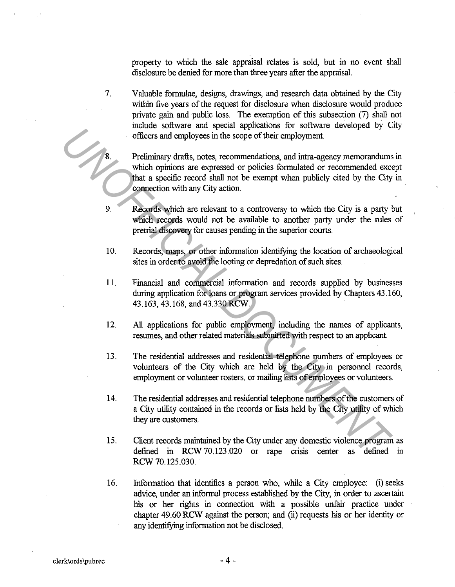property to which the sale appraisal relates is sold, but in no event shall disclosure be denied for more than three years after the appraisal.

7. Valuable formulae, designs, drawings, and research data obtained by the City within five years of the request for disclosure when disclosure would produce private gain and public loss. The exemption of this subsection (7) shall not include software and special applications for software developed by City officers and employees in the scope of their employment.

Preliminary drafts, notes, recommendations, and intra-agency memorandums in which opinions are expressed or policies formulated or recommended except that a specific record shall not be exempt when publicly cited by the City in connection with any City action. For the state of the state increases and secure the state in the state of the example of their employment.<br> **Preliminary drafts**, notes, recommendations, and intra-agency memorandums<br>
which opinions are expressed or polici

- 9. Records which are relevant to a controversy to which the City is a party but which records would not be available to another party under the rules of pretrial discovery for causes pending in the superior courts.
- 10. Records, maps, or other information identifying the location of archaeological sites in order to avoid the looting or depredation of such sites.
- 11. Financial and commercial information and records supplied by businesses during application for loans or program services provided by Chapters 43 .160, 43.163, 43.168, and 43.330 RCW.
- 12. All applications for public employment, including the names of applicants, resumes, and other related materials submitted with respect to an applicant.
- 13. The residential addresses and residential telephone numbers of employees or volunteers of the City which are held by the City in personnel records, employment or volunteer rosters, or mailing lists of employees or volunteers.
- 14. The residential addresses and residential telephone numbers of the customers of a City utility contained in the records or lists held by the City utility of which they are customers.
- 15. Client records maintained by the City under any domestic violence program as defined in RCW 70.123.020 or rape crisis center as defined in RCW 70.125.030.
- 16. Information that identifies a person who, while a City employee: (i) seeks advice, under an informal process established by the City, in order to ascertain his or her rights in connection with a possible unfair practice under chapter 49.60 RCW against the person; and (ii) requests his or her identity or any identifying information not be disclosed.

8.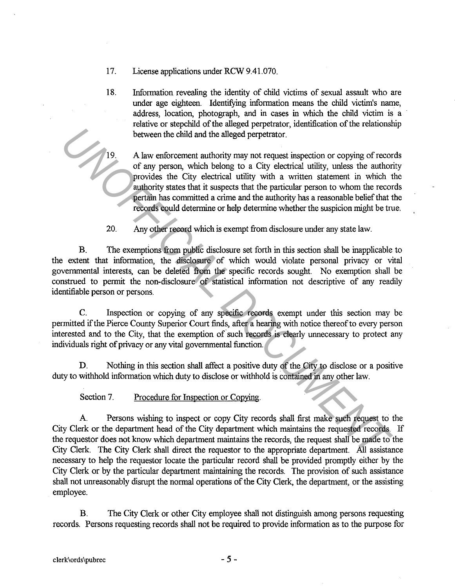- 17. License applications under RCW 9.41.070.
- 18. Information revealing the identity of child victims of sexual assault who are under age eighteen. Identifying information means the child victim's name, address, location, photograph, and in cases in which the child victim is a relative or stepchild of the alleged perpetrator, identification of the relationship between the child and the alleged perpetrator.

19. A law enforcement authority may not request inspection or copying of records of any person, which belong to a City electrical utility, unless the authority provides the City electrical utility with a written statement in which the authority states that it suspects that the particular person to whom the records pertain has committed a crime and the authority has a reasonable belief that the records could determine or help determine whether the suspicion might be true.

20. Any other record which is exempt from disclosure under any state law.

B. The exemptions from public disclosure set forth in this section shall be inapplicable to the extent that information, the disclosure of which would violate personal privacy or vital governmental interests, can be deleted from the specific records sought. No exemption shall be construed to permit the non-disclosure of statistical information not descriptive of any readily identifiable person or persons. **Example 19 and the alleged perpetrator.**<br> **Example 19 and the alleged perpetrator.**<br> **A law enforcement authority may not request inspection or copying of record or any person, which helong to a City electrical utility wi** 

C. Inspection or copying of any specific records exempt under this section may be permitted if the Pierce County Superior Court finds, after a hearing with notice thereof to every person interested and to the City, that the exemption *of* such records is clearly unnecessary to protect any individuals right of privacy or any vital governmental function.

D. Nothing in this section shall affect a positive duty of the City to disclose or a positive duty to withhold information which duty to disclose or withhold is contained in any other law.

Section 7. Procedure for Inspection or Copying.

A Persons wishing to inspect or copy City records shall first make such request to the City Clerk or the department head of the City department which maintains the requested records. If the requestor does not know which department maintains the records, the request shall be made to the City Clerk. The City Clerk shall direct the requestor to the appropriate department. All assistance necessary to help the requestor locate the particular record shall be provided promptly either by the City Clerk or by the particular department maintaining the records. The provision of such assistance shall not umeasonably disrupt the normal operations of the City Clerk, the department, or the assisting employee.

B. The City Clerk or other City employee shall not distinguish among persons requesting records. Persons requesting records shall not be required to provide information as to the purpose for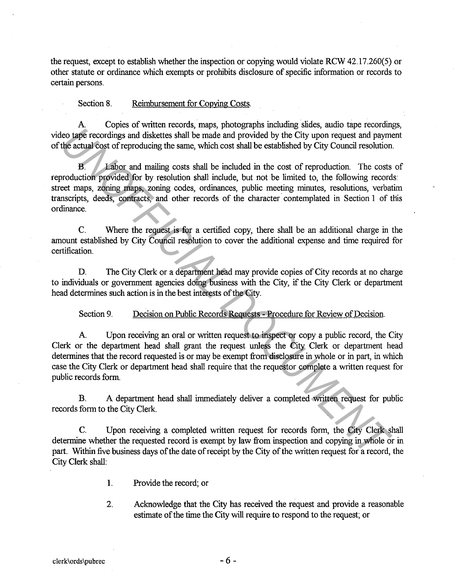the request, except to establish whether the inspection or copying would violate RCW 42.17.260(5) or other statute or ordinance which exempts or prohibits disclosure of specific information or records to certain persons.

Section 8. Reimbursement for Copying Costs.

A. Copies of written records, maps, photographs including slides, audio tape recordings, video tape recordings and diskettes shall be made and provided by the City upon request and payment of the actual cost of reproducing the same, which cost shall be established by City Council resolution.

B. Labor and mailing costs shall be included in the cost of reproduction. The costs of reproduction provided for by resolution shall include, but not be limited to, the following records: street maps, zoning maps, zoning codes, ordinances, public meeting minutes, resolutions, verbatim transcripts, deeds, contracts, and other records of the character contemplated in Section 1 of this ordinance. **Example 19 and 19 and 19 and 19 and 19 and 19 and 19 and 19 and 19 and 19 and 19 and 19 and 19 and 19 and 19 and 19 and 19 and 19 and 19 and 19 and 19 and 19 and 19 and 19 and 19 and 19 and 19 and 19 and 19 and 19 and 19** 

C. Where the request is for a certified copy, there shall be an additional charge in the amount established by City Council resolution to cover the additional expense and time required for certification.

D. The City Clerk or a department head may provide copies of City records at no charge to individuals or government agencies doing business with the City, if the City Clerk or department head determines such action is in the best interests of the City.

Section 9. Decision on Public Records Requests - Procedure for Review of Decision.

A. Upon receiving an oral or written request to inspect or copy a public record, the City Clerk or the department head shall grant the request unless the City Clerk or department head determines that the record requested is or may be exempt from disclosure in whole or in part, in which case the City Clerk or department head shall require that the requestor complete a written request for public records form.

B. A department head shall immediately deliver a completed written request for public records form to the City Clerk.

C. Upon receiving a completed written request for records form, the City Clerk shall determine whether the requested record is exempt by law from inspection and copying in whole or in part. Within five business days of the date of receipt by the City of the written request for a record, the City Clerk shall:

- 1. Provide the record; or
- 2. Acknowledge that the City has received the request and provide a reasonable estimate of the time the City will require to respond to the request; or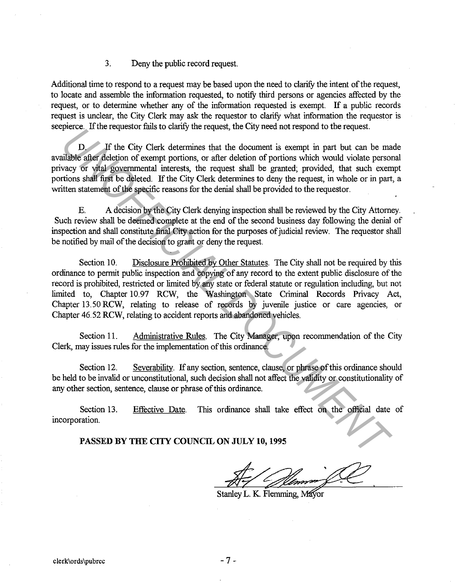### 3. Deny the public record request.

Additional time to respond to a request may be based upon the need to clarify the intent of the request, to locate and assemble the information requested, to notify third persons or agencies affected by the request, or to determine whether any of the information requested is exempt. If a public records request is unclear, the City Clerk may ask the requestor to clarify what information the requestor is seepierce. If the requestor fails to clarify the request, the City need not respond to the request.

D. If the City Clerk determines that the document is exempt in part but can be made available after deletion of exempt portions, or after deletion of portions which would violate personal privacy or vital governmental interests, the request shall be granted; provided, that such exempt portions shall first be deleted. If the City Clerk determines to deny the request, in whole or in part, a written statement of the specific reasons for the denial shall be provided to the requestor.

E. A decision by the City Clerk denying inspection shall be reviewed by the City Attorney. Such review shall be deemed complete at the end of the second business day following the denial of inspection and shall constitute final City action for the purposes of judicial review. The requestor shall be notified by mail of the decision to grant or deny the request.

Section 10. Disclosure Prohibited by Other Statutes. The City shall not be required by this ordinance to permit public inspection and copying of any record to the extent public disclosure of the record is prohibited, restricted or limited by any state or federal statute or regulation including, but not limited to, Chapter 10.97 RCW, the Washington State Criminal Records Privacy Act, Chapter 13.50 RCW, relating to release of records by juvenile justice or care agencies, or Chapter 46. 52 RCW, relating to accident reports and abandoned vehicles. phetics. In the telucison ratio to change in equests, the clay head not respond to the equests.<br> **UNOFFICIAL determines that the document is except in part but can be made<br>
alled alled place of exampt portions, or after de** 

Section 11. Administrative Rules. The City Manager, upon recommendation of the City Clerk, may issues rules for the implementation of this ordinance.

Section 12. Severability. If any section, sentence, clause, or phrase of this ordinance should be held to be invalid or unconstitutional, such decision shall not affect the validity or constitutionality of any other section, sentence, clause or phrase of this ordinance.

Section 13. incorporation. Effective Date. This ordinance shall take effect on the official date of

#### **PASSED BY THE CITY COUNCIL ON JULY 10, 1995**

Stanley L. K. Flemming, Mayor